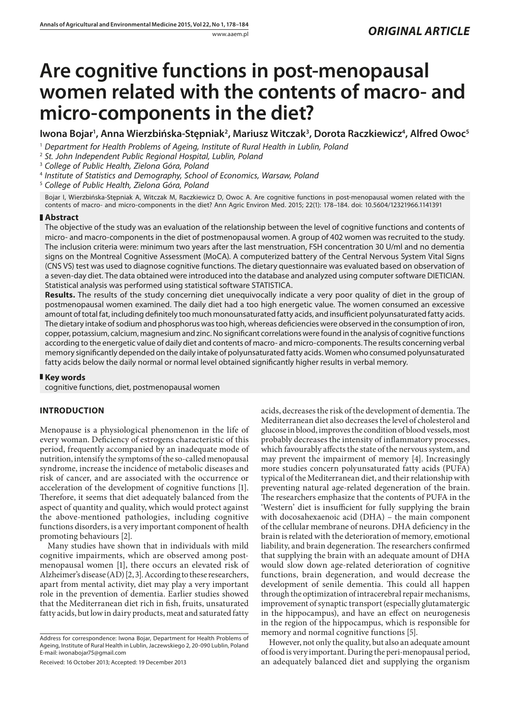# **Are cognitive functions in post-menopausal women related with the contents of macro- and micro-components in the diet?**

Iwona Bojar<sup>ı</sup>, Anna Wierzbińska-Stępniak<sup>2</sup>, Mariusz Witczak<sup>3</sup>, Dorota Raczkiewicz<sup>4</sup>, Alfred Owoc<sup>5</sup>

1  *Department for Health Problems of Ageing, Institute of Rural Health in Lublin, Poland*

2  *St. John Independent Public Regional Hospital, Lublin, Poland*

3  *College of Public Health, Zielona Góra, Poland*

4  *Institute of Statistics and Demography, School of Economics, Warsaw, Poland*

5  *College of Public Health, Zielona Góra, Poland*

Bojar I, Wierzbińska-Stępniak A, Witczak M, Raczkiewicz D, Owoc A. Are cognitive functions in post-menopausal women related with the contents of macro- and micro-components in the diet? Ann Agric Environ Med. 2015; 22(1): 178–184. doi: 10.5604/12321966.1141391

### **Abstract**

The objective of the study was an evaluation of the relationship between the level of cognitive functions and contents of micro- and macro-components in the diet of postmenopausal women. A group of 402 women was recruited to the study. The inclusion criteria were: minimum two years after the last menstruation, FSH concentration 30 U/ml and no dementia signs on the Montreal Cognitive Assessment (MoCA). A computerized battery of the Central Nervous System Vital Signs (CNS VS) test was used to diagnose cognitive functions. The dietary questionnaire was evaluated based on observation of a seven-day diet. The data obtained were introduced into the database and analyzed using computer software DIETICIAN. Statistical analysis was performed using statistical software STATISTICA.

**Results.** The results of the study concerning diet unequivocally indicate a very poor quality of diet in the group of postmenopausal women examined. The daily diet had a too high energetic value. The women consumed an excessive amount of total fat, including definitely too much monounsaturated fatty acids, and insufficient polyunsaturated fatty acids. The dietary intake of sodium and phosphorus was too high, whereas deficiencies were observed in the consumption of iron, copper, potassium, calcium, magnesium and zinc. No significant correlations were found in the analysis of cognitive functions according to the energetic value of daily diet and contents of macro- and micro-components. The results concerning verbal memory significantly depended on the daily intake of polyunsaturated fatty acids. Women who consumed polyunsaturated fatty acids below the daily normal or normal level obtained significantly higher results in verbal memory.

#### **Key words**

cognitive functions, diet, postmenopausal women

## **INTRODUCTION**

Menopause is a physiological phenomenon in the life of every woman. Deficiency of estrogens characteristic of this period, frequently accompanied by an inadequate mode of nutrition, intensify the symptoms of the so-called menopausal syndrome, increase the incidence of metabolic diseases and risk of cancer, and are associated with the occurrence or acceleration of the development of cognitive functions [1]. Therefore, it seems that diet adequately balanced from the aspect of quantity and quality, which would protect against the above-mentioned pathologies, including cognitive functions disorders, is a very important component of health promoting behaviours [2].

Many studies have shown that in individuals with mild cognitive impairments, which are observed among postmenopausal women [1], there occurs an elevated risk of Alzheimer's disease (AD) [2, 3]. According to these researchers, apart from mental activity, diet may play a very important role in the prevention of dementia. Earlier studies showed that the Mediterranean diet rich in fish, fruits, unsaturated fatty acids, but low in dairy products, meat and saturated fatty

Address for correspondence: Iwona Bojar, Department for Health Problems of Ageing, Institute of Rural Health in Lublin, Jaczewskiego 2, 20-090 Lublin, Poland E-mail: iwonabojar75@gmail.com

Received: 16 October 2013; Accepted: 19 December 2013

acids, decreases the risk of the development of dementia. The Mediterranean diet also decreases the level of cholesterol and glucose in blood, improves the condition of blood vessels, most probably decreases the intensity of inflammatory processes, which favourably affects the state of the nervous system, and may prevent the impairment of memory [4]. Increasingly more studies concern polyunsaturated fatty acids (PUFA) typical of the Mediterranean diet, and their relationship with preventing natural age-related degeneration of the brain. The researchers emphasize that the contents of PUFA in the 'Western' diet is insufficient for fully supplying the brain with docosahexaenoic acid (DHA) – the main component of the cellular membrane of neurons. DHA deficiency in the brain is related with the deterioration of memory, emotional liability, and brain degeneration. The researchers confirmed that supplying the brain with an adequate amount of DHA would slow down age-related deterioration of cognitive functions, brain degeneration, and would decrease the development of senile dementia. This could all happen through the optimization of intracerebral repair mechanisms, improvement of synaptic transport (especially glutamatergic in the hippocampus), and have an effect on neurogenesis in the region of the hippocampus, which is responsible for memory and normal cognitive functions [5].

However, not only the quality, but also an adequate amount of food is very important. During the peri-menopausal period, an adequately balanced diet and supplying the organism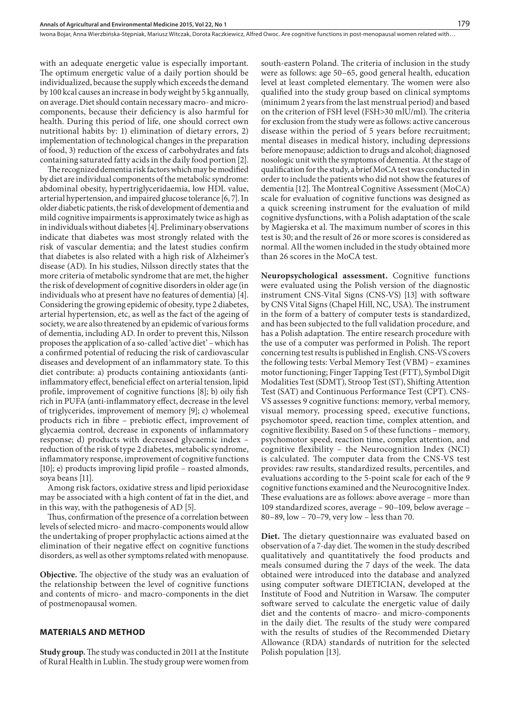with an adequate energetic value is especially important. The optimum energetic value of a daily portion should be individualized, because the supply which exceeds the demand by 100 kcal causes an increase in body weight by 5 kg annually, on average. Diet should contain necessary macro- and microcomponents, because their deficiency is also harmful for health. During this period of life, one should correct own nutritional habits by: 1) elimination of dietary errors, 2) implementation of technological changes in the preparation of food, 3) reduction of the excess of carbohydrates and fats containing saturated fatty acids in the daily food portion [2].

The recognized dementia risk factors which may be modified by diet are individual components of the metabolic syndrome: abdominal obesity, hypertriglyceridaemia, low HDL value, arterial hypertension, and impaired glucose tolerance [6, 7]. In older diabetic patients, the risk of development of dementia and mild cognitive impairments is approximately twice as high as in individuals without diabetes [4]. Preliminary observations indicate that diabetes was most strongly related with the risk of vascular dementia; and the latest studies confirm that diabetes is also related with a high risk of Alzheimer's disease (AD). In his studies, Nilsson directly states that the more criteria of metabolic syndrome that are met, the higher the risk of development of cognitive disorders in older age (in individuals who at present have no features of dementia) [4]. Considering the growing epidemic of obesity, type 2 diabetes, arterial hypertension, etc, as well as the fact of the ageing of society, we are also threatened by an epidemic of various forms of dementia, including AD. In order to prevent this, Nilsson proposes the application of a so-called 'active diet' – which has a confirmed potential of reducing the risk of cardiovascular diseases and development of an inflammatory state. To this diet contribute: a) products containing antioxidants (antiinflammatory effect, beneficial effect on arterial tension, lipid profile, improvement of cognitive functions [8]; b) oily fish rich in PUFA (anti-inflammatory effect, decrease in the level of triglycerides, improvement of memory [9]; c) wholemeal products rich in fibre – prebiotic effect, improvement of glycaemia control, decrease in exponents of inflammatory response; d) products with decreased glycaemic index – reduction of the risk of type 2 diabetes, metabolic syndrome, inflammatory response, improvement of cognitive functions [10]; e) products improving lipid profile – roasted almonds, soya beans [11].

Among risk factors, oxidative stress and lipid perioxidase may be associated with a high content of fat in the diet, and in this way, with the pathogenesis of AD [5].

Thus, confirmation of the presence of a correlation between levels of selected micro- and macro-components would allow the undertaking of proper prophylactic actions aimed at the elimination of their negative effect on cognitive functions disorders, as well as other symptoms related with menopause.

**Objective.** The objective of the study was an evaluation of the relationship between the level of cognitive functions and contents of micro- and macro-components in the diet of postmenopausal women.

#### **MATERIALS AND METHOD**

**Study group.** The study was conducted in 2011 at the Institute of Rural Health in Lublin. The study group were women from south-eastern Poland. The criteria of inclusion in the study were as follows: age 50–65, good general health, education level at least completed elementary. The women were also qualified into the study group based on clinical symptoms (minimum 2 years from the last menstrual period) and based on the criterion of FSH level (FSH>30 mlU/ml). The criteria for exclusion from the study were as follows: active cancerous disease within the period of 5 years before recruitment; mental diseases in medical history, including depressions before menopause; addiction to drugs and alcohol; diagnosed nosologic unit with the symptoms of dementia. At the stage of qualification for the study, a brief MoCA test was conducted in order to include the patients who did not show the features of dementia [12]. The Montreal Cognitive Assessment (MoCA) scale for evaluation of cognitive functions was designed as a quick screening instrument for the evaluation of mild cognitive dysfunctions, with a Polish adaptation of the scale by Magierska et al. The maximum number of scores in this test is 30; and the result of 26 or more scores is considered as normal. All the women included in the study obtained more than 26 scores in the MoCA test.

**Neuropsychological assessment.** Cognitive functions were evaluated using the Polish version of the diagnostic instrument CNS-Vital Signs (CNS-VS) [13] with software by CNS Vital Signs (Chapel Hill, NC, USA). The instrument in the form of a battery of computer tests is standardized, and has been subjected to the full validation procedure, and has a Polish adaptation. The entire research procedure with the use of a computer was performed in Polish. The report concerning test results is published in English. CNS-VS covers the following tests: Verbal Memory Test (VBM) – examines motor functioning; Finger Tapping Test (FTT), Symbol Digit Modalities Test (SDMT), Stroop Test (ST), Shifting Attention Test (SAT) and Continuous Performance Test (CPT). CNS-VS assesses 9 cognitive functions: memory, verbal memory, visual memory, processing speed, executive functions, psychomotor speed, reaction time, complex attention, and cognitive flexibility. Based on 5 of these functions – memory, psychomotor speed, reaction time, complex attention, and cognitive flexibility – the Neurocognition Index (NCI) is calculated. The computer data from the CNS-VS test provides: raw results, standardized results, percentiles, and evaluations according to the 5-point scale for each of the 9 cognitive functions examined and the Neurocognitive Index. These evaluations are as follows: above average – more than 109 standardized scores, average – 90–109, below average – 80–89, low – 70–79, very low – less than 70.

**Diet.** The dietary questionnaire was evaluated based on observation of a 7-day diet. The women in the study described qualitatively and quantitatively the food products and meals consumed during the 7 days of the week. The data obtained were introduced into the database and analyzed using computer software DIETICIAN, developed at the Institute of Food and Nutrition in Warsaw. The computer software served to calculate the energetic value of daily diet and the contents of macro- and micro-components in the daily diet. The results of the study were compared with the results of studies of the Recommended Dietary Allowance (RDA) standards of nutrition for the selected Polish population [13].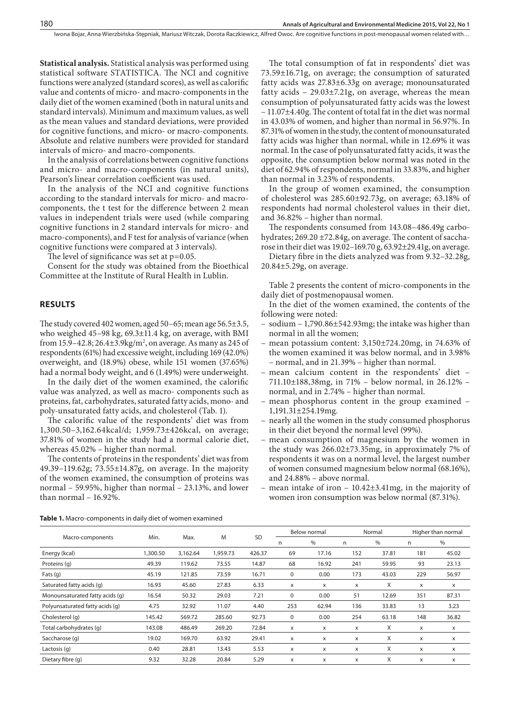**Statistical analysis.** Statistical analysis was performed using statistical software STATISTICA. The NCI and cognitive functions were analyzed (standard scores), as well as calorific value and contents of micro- and macro-components in the daily diet of the women examined (both in natural units and standard intervals). Minimum and maximum values, as well as the mean values and standard deviations, were provided for cognitive functions, and micro- or macro-components. Absolute and relative numbers were provided for standard intervals of micro- and macro-components.

In the analysis of correlations between cognitive functions and micro- and macro-components (in natural units), Pearson's linear correlation coefficient was used.

In the analysis of the NCI and cognitive functions according to the standard intervals for micro- and macrocomponents, the t test for the difference between 2 mean values in independent trials were used (while comparing cognitive functions in 2 standard intervals for micro- and macro-components), and F test for analysis of variance (when cognitive functions were compared at 3 intervals).

The level of significance was set at  $p=0.05$ .

Consent for the study was obtained from the Bioethical Committee at the Institute of Rural Health in Lublin.

#### **RESULTS**

The study covered 402 women, aged 50–65; mean age 56.5±3.5, who weighed 45–98 kg, 69.3±11.4 kg, on average, with BMI from 15.9–42.8; 26.4±3.9kg/m², on average. As many as 245 of respondents (61%) had excessive weight, including 169 (42.0%) overweight, and (18.9%) obese, while 151 women (37.65%) had a normal body weight, and 6 (1.49%) were underweight.

In the daily diet of the women examined, the calorific value was analyzed, as well as macro- components such as proteins, fat, carbohydrates, saturated fatty acids, mono- and poly-unsaturated fatty acids, and cholesterol (Tab. 1).

The calorific value of the respondents' diet was from 1,300.50–3,162.64kcal/d; 1,959.73±426kcal, on average; 37.81% of women in the study had a normal calorie diet, whereas 45.02% – higher than normal.

The contents of proteins in the respondents' diet was from 49.39–119.62g; 73.55±14.87g, on average. In the majority of the women examined, the consumption of proteins was normal – 59.95%, higher than normal – 23.13%, and lower than normal – 16.92%.

The total consumption of fat in respondents' diet was 73.59±16.71g, on average; the consumption of saturated fatty acids was 27.83±6.33g on average; monounsaturated fatty acids – 29.03±7.21g, on average, whereas the mean consumption of polyunsaturated fatty acids was the lowest – 11.07±4.40g. The content of total fat in the diet was normal in 43.03% of women, and higher than normal in 56.97%. In 87.31% of women in the study, the content of monounsaturated fatty acids was higher than normal, while in 12.69% it was normal. In the case of polyunsaturated fatty acids, it was the opposite, the consumption below normal was noted in the diet of 62.94% of respondents, normal in 33.83%, and higher than normal in 3.23% of respondents.

In the group of women examined, the consumption of cholesterol was 285.60±92.73g, on average; 63.18% of respondents had normal cholesterol values in their diet, and 36.82% – higher than normal.

The respondents consumed from 143.08–486.49g carbohydrates; 269.20 ±72.84g, on average. The content of saccharose in their diet was 19.02–169.70 g, 63.92±29.41g, on average.

Dietary fibre in the diets analyzed was from 9.32–32.28g, 20.84±5.29g, on average.

Table 2 presents the content of micro-components in the daily diet of postmenopausal women.

- In the diet of the women examined, the contents of the following were noted:
- sodium 1,790.86±542.93mg; the intake was higher than normal in all the women;
- mean potassium content: 3,150±724.20mg, in 74.63% of the women examined it was below normal, and in 3.98% – normal, and in 21.39% – higher than normal.
- mean calcium content in the respondents' diet 711.10±188,38mg, in 71% – below normal, in 26.12% – normal, and in 2.74% – higher than normal.
- mean phosphorus content in the group examined 1,191.31±254.19mg.
- nearly all the women in the study consumed phosphorus in their diet beyond the normal level (99%).
- mean consumption of magnesium by the women in the study was 266.02±73.35mg, in approximately 7% of respondents it was on a normal level, the largest number of women consumed magnesium below normal (68.16%), and 24.88% – above normal.
- mean intake of iron  $10.42\pm3.41$ mg, in the majority of women iron consumption was below normal (87.31%).

**Table 1.** Macro-components in daily diet of women examined

|                                 |         |          |          |           |     | Below normal |     | Normal | Higher than normal |       |  |
|---------------------------------|---------|----------|----------|-----------|-----|--------------|-----|--------|--------------------|-------|--|
| Macro-components                | Min.    | Max.     | M        | <b>SD</b> | n   | $\%$         | n   | %      | n                  | $\%$  |  |
| Energy (kcal)                   | .300.50 | 3,162.64 | 1.959.73 | 426.37    | 69  | 17.16        | 152 | 37.81  | 181                | 45.02 |  |
| Proteins (q)                    | 49.39   | 119.62   | 73.55    | 14.87     | 68  | 16.92        | 241 | 59.95  | 93                 | 23.13 |  |
| Fats $(q)$                      | 45.19   | 121.85   | 73.59    | 16.71     | 0   | 0.00         | 173 | 43.03  | 229                | 56.97 |  |
| Saturated fatty acids (q)       | 16.93   | 45.60    | 27.83    | 6.33      | X   | X            | X   | X      | X                  | x     |  |
| Monounsaturated fatty acids (q) | 16.54   | 50.32    | 29.03    | 7.21      | 0   | 0.00         | 51  | 12.69  | 351                | 87.31 |  |
| Polyunsaturated fatty acids (q) | 4.75    | 32.92    | 11.07    | 4.40      | 253 | 62.94        | 136 | 33.83  | 13                 | 3.23  |  |
| Cholesterol (q)                 | 145.42  | 569.72   | 285.60   | 92.73     | 0   | 0.00         | 254 | 63.18  | 148                | 36.82 |  |
| Total carbohydrates (q)         | 143.08  | 486.49   | 269.20   | 72.84     | x   | X            | X   | X      | X                  | x     |  |
| Saccharose (q)                  | 19.02   | 169.70   | 63.92    | 29.41     | x   | X            | x   | X      | X                  | x     |  |
| Lactosis (q)                    | 0.40    | 28.81    | 13.43    | 5.53      | x   | X            | X   | X      | X                  | x     |  |
| Dietary fibre (q)               | 9.32    | 32.28    | 20.84    | 5.29      | x   | X            | X   | X      | X                  | X     |  |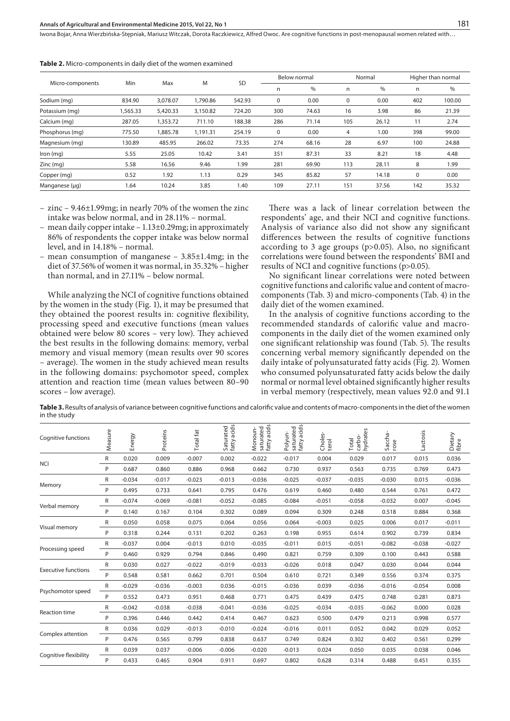Iwona Bojar, Anna Wierzbińska-Stępniak, Mariusz Witczak, Dorota Raczkiewicz, Alfred Owoc . Are cognitive functions in post-menopausal women related with…

|                  |         |          |          |           |             | Below normal |             | Normal | Higher than normal |        |
|------------------|---------|----------|----------|-----------|-------------|--------------|-------------|--------|--------------------|--------|
| Micro-components | Min     | Max      | M        | <b>SD</b> | n           | $\%$         | n           | $\%$   | n                  | $\%$   |
| Sodium (mg)      | 834.90  | 3.078.07 | 1,790.86 | 542.93    | $\mathbf 0$ | 0.00         | $\mathbf 0$ | 0.00   | 402                | 100.00 |
| Potassium (mg)   | .565.33 | 5,420.33 | 3,150.82 | 724.20    | 300         | 74.63        | 16          | 3.98   | 86                 | 21.39  |
| Calcium (mg)     | 287.05  | 1,353.72 | 711.10   | 188.38    | 286         | 71.14        | 105         | 26.12  | 11                 | 2.74   |
| Phosphorus (mg)  | 775.50  | 1,885.78 | 1.191.31 | 254.19    | 0           | 0.00         | 4           | 1.00   | 398                | 99.00  |
| Magnesium (mg)   | 130.89  | 485.95   | 266.02   | 73.35     | 274         | 68.16        | 28          | 6.97   | 100                | 24.88  |
| $lron$ (mg)      | 5.55    | 25.05    | 10.42    | 3.41      | 351         | 87.31        | 33          | 8.21   | 18                 | 4.48   |
| $Zinc$ (mg)      | 5.58    | 16.56    | 9.46     | 1.99      | 281         | 69.90        | 113         | 28.11  | 8                  | 1.99   |
| Copper (mg)      | 0.52    | 1.92     | 1.13     | 0.29      | 345         | 85.82        | 57          | 14.18  | $\mathbf 0$        | 0.00   |
| Manganese (µg)   | 1.64    | 10.24    | 3.85     | 1.40      | 109         | 27.11        | 151         | 37.56  | 142                | 35.32  |

**Table 2.** Micro-components in daily diet of the women examined

- zinc 9.46±1.99mg; in nearly 70% of the women the zinc intake was below normal, and in 28.11% – normal.
- mean daily copper intake 1.13±0.29mg; in approximately 86% of respondents the copper intake was below normal level, and in 14.18% – normal.
- mean consumption of manganese 3.85±1.4mg; in the diet of 37.56% of women it was normal, in 35.32% – higher than normal, and in 27.11% – below normal.

While analyzing the NCI of cognitive functions obtained by the women in the study (Fig. 1), it may be presumed that they obtained the poorest results in: cognitive flexibility, processing speed and executive functions (mean values obtained were below 80 scores – very low). They achieved the best results in the following domains: memory, verbal memory and visual memory (mean results over 90 scores – average). The women in the study achieved mean results in the following domains: psychomotor speed, complex attention and reaction time (mean values between 80–90 scores – low average).

There was a lack of linear correlation between the respondents' age, and their NCI and cognitive functions. Analysis of variance also did not show any significant differences between the results of cognitive functions according to 3 age groups (p>0.05). Also, no significant correlations were found between the respondents' BMI and results of NCI and cognitive functions (p>0.05).

No significant linear correlations were noted between cognitive functions and calorific value and content of macrocomponents (Tab. 3) and micro-components (Tab. 4) in the daily diet of the women examined.

In the analysis of cognitive functions according to the recommended standards of calorific value and macrocomponents in the daily diet of the women examined only one significant relationship was found (Tab. 5). The results concerning verbal memory significantly depended on the daily intake of polyunsaturated fatty acids (Fig. 2). Women who consumed polyunsaturated fatty acids below the daily normal or normal level obtained significantly higher results in verbal memory (respectively, mean values 92.0 and 91.1

**Table 3.** Results of analysis of variance between cognitive functions and calorific value and contents of macro-components in the diet of the women in the study

| <b>Cognitive functions</b> | Measure | Energy   | Proteins | Total fat | acids<br>Saturated<br>fatty acids | fatty acids<br>Monoun-<br>saturated | Polyun-<br>saturated<br>fatty acids | s,<br>Choles<br>terol | carbo-<br>hydrates<br>Total | Saccha-<br>rose | Lactosis | Dietary<br>fibre |
|----------------------------|---------|----------|----------|-----------|-----------------------------------|-------------------------------------|-------------------------------------|-----------------------|-----------------------------|-----------------|----------|------------------|
|                            | R       | 0.020    | 0.009    | $-0.007$  | 0.002                             | $-0.022$                            | $-0.017$                            | 0.004                 | 0.029                       | 0.017           | 0.015    | 0.036            |
| <b>NCI</b>                 | P       | 0.687    | 0.860    | 0.886     | 0.968                             | 0.662                               | 0.730                               | 0.937                 | 0.563                       | 0.735           | 0.769    | 0.473            |
|                            | R       | $-0.034$ | $-0.017$ | $-0.023$  | $-0.013$                          | $-0.036$                            | $-0.025$                            | $-0.037$              | $-0.035$                    | $-0.030$        | 0.015    | $-0.036$         |
| Memory                     | P       | 0.495    | 0.733    | 0.641     | 0.795                             | 0.476                               | 0.619                               | 0.460                 | 0.480                       | 0.544           | 0.761    | 0.472            |
|                            | R       | $-0.074$ | $-0.069$ | $-0.081$  | $-0.052$                          | $-0.085$                            | $-0.084$                            | $-0.051$              | $-0.058$                    | $-0.032$        | 0.007    | $-0.045$         |
| Verbal memory              | P       | 0.140    | 0.167    | 0.104     | 0.302                             | 0.089                               | 0.094                               | 0.309                 | 0.248                       | 0.518           | 0.884    | 0.368            |
|                            | R       | 0.050    | 0.058    | 0.075     | 0.064                             | 0.056                               | 0.064                               | $-0.003$              | 0.025                       | 0.006           | 0.017    | $-0.011$         |
| Visual memory              | P       | 0.318    | 0.244    | 0.131     | 0.202                             | 0.263                               | 0.198                               | 0.955                 | 0.614                       | 0.902           | 0.739    | 0.834            |
|                            | R       | $-0.037$ | 0.004    | $-0.013$  | 0.010                             | $-0.035$                            | $-0.011$                            | 0.015                 | $-0.051$                    | $-0.082$        | $-0.038$ | $-0.027$         |
| Processing speed           | P       | 0.460    | 0.929    | 0.794     | 0.846                             | 0.490                               | 0.821                               | 0.759                 | 0.309                       | 0.100           | 0.443    | 0.588            |
| <b>Executive functions</b> | R       | 0.030    | 0.027    | $-0.022$  | $-0.019$                          | $-0.033$                            | $-0.026$                            | 0.018                 | 0.047                       | 0.030           | 0.044    | 0.044            |
|                            | P       | 0.548    | 0.581    | 0.662     | 0.701                             | 0.504                               | 0.610                               | 0.721                 | 0.349                       | 0.556           | 0.374    | 0.375            |
|                            | R       | $-0.029$ | $-0.036$ | $-0.003$  | 0.036                             | $-0.015$                            | $-0.036$                            | 0.039                 | $-0.036$                    | $-0.016$        | $-0.054$ | 0.008            |
| Psychomotor speed          | P       | 0.552    | 0.473    | 0.951     | 0.468                             | 0.771                               | 0.475                               | 0.439                 | 0.475                       | 0.748           | 0.281    | 0.873            |
|                            | R       | $-0.042$ | $-0.038$ | $-0.038$  | $-0.041$                          | $-0.036$                            | $-0.025$                            | $-0.034$              | $-0.035$                    | $-0.062$        | 0.000    | 0.028            |
| <b>Reaction time</b>       | P       | 0.396    | 0.446    | 0.442     | 0.414                             | 0.467                               | 0.623                               | 0.500                 | 0.479                       | 0.213           | 0.998    | 0.577            |
|                            | R       | 0.036    | 0.029    | $-0.013$  | $-0.010$                          | $-0.024$                            | $-0.016$                            | 0.011                 | 0.052                       | 0.042           | 0.029    | 0.052            |
| Complex attention          | P       | 0.476    | 0.565    | 0.799     | 0.838                             | 0.637                               | 0.749                               | 0.824                 | 0.302                       | 0.402           | 0.561    | 0.299            |
|                            | R       | 0.039    | 0.037    | $-0.006$  | $-0.006$                          | $-0.020$                            | $-0.013$                            | 0.024                 | 0.050                       | 0.035           | 0.038    | 0.046            |
| Cognitive flexibility      | P       | 0.433    | 0.465    | 0.904     | 0.911                             | 0.697                               | 0.802                               | 0.628                 | 0.314                       | 0.488           | 0.451    | 0.355            |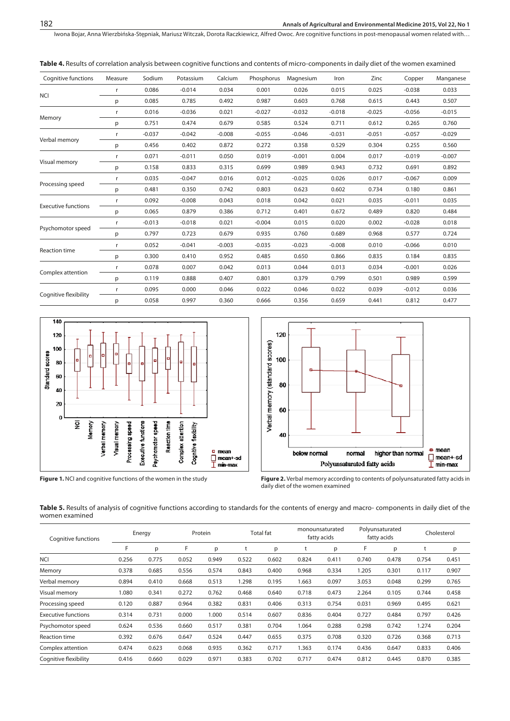Iwona Bojar, Anna Wierzbińska-Stępniak, Mariusz Witczak, Dorota Raczkiewicz, Alfred Owoc . Are cognitive functions in post-menopausal women related with…

**Table 4.** Results of correlation analysis between cognitive functions and contents of micro-components in daily diet of the women examined

| 0.086<br>$-0.014$<br>0.034<br>0.001<br>0.026<br>0.015<br>0.025<br>$-0.038$<br>r<br><b>NCI</b><br>0.085<br>0.785<br>0.492<br>0.987<br>0.603<br>0.768<br>0.615<br>0.443<br>p | 0.033<br>0.507<br>$-0.015$<br>0.760<br>$-0.029$ |
|----------------------------------------------------------------------------------------------------------------------------------------------------------------------------|-------------------------------------------------|
|                                                                                                                                                                            |                                                 |
|                                                                                                                                                                            |                                                 |
| 0.016<br>$-0.032$<br>$-0.036$<br>0.021<br>$-0.027$<br>$-0.018$<br>$-0.025$<br>$-0.056$<br>r                                                                                |                                                 |
| Memory<br>0.751<br>0.474<br>0.585<br>0.524<br>0.679<br>0.711<br>0.612<br>0.265<br>p                                                                                        |                                                 |
| $-0.037$<br>$-0.046$<br>$-0.042$<br>$-0.008$<br>$-0.055$<br>$-0.031$<br>$-0.051$<br>$-0.057$<br>r                                                                          |                                                 |
| Verbal memory<br>0.456<br>0.402<br>0.872<br>0.272<br>0.358<br>0.529<br>0.304<br>0.255<br>p                                                                                 | 0.560                                           |
| 0.071<br>0.019<br>$-0.001$<br>0.004<br>$-0.011$<br>0.050<br>0.017<br>$-0.019$<br>r                                                                                         | $-0.007$                                        |
| Visual memory<br>0.158<br>0.833<br>0.699<br>0.989<br>0.943<br>0.315<br>0.732<br>0.691<br>p                                                                                 | 0.892                                           |
| $-0.025$<br>0.035<br>$-0.047$<br>0.016<br>0.012<br>0.026<br>0.017<br>$-0.067$<br>r<br>Processing speed                                                                     | 0.009                                           |
| 0.481<br>0.803<br>0.623<br>0.350<br>0.742<br>0.602<br>0.734<br>0.180<br>p                                                                                                  | 0.861                                           |
| 0.092<br>$-0.008$<br>0.018<br>0.042<br>0.021<br>0.043<br>0.035<br>$-0.011$<br>r<br><b>Executive functions</b>                                                              | 0.035                                           |
| 0.065<br>0.879<br>0.712<br>0.401<br>0.672<br>0.386<br>0.489<br>0.820<br>p                                                                                                  | 0.484                                           |
| $-0.013$<br>$-0.004$<br>0.015<br>0.020<br>$-0.018$<br>0.021<br>0.002<br>$-0.028$<br>r<br>Psychomotor speed                                                                 | 0.018                                           |
| 0.797<br>0.723<br>0.679<br>0.935<br>0.760<br>0.689<br>0.968<br>0.577<br>p                                                                                                  | 0.724                                           |
| 0.052<br>$-0.041$<br>$-0.035$<br>$-0.023$<br>$-0.008$<br>$-0.066$<br>$-0.003$<br>0.010<br>r<br><b>Reaction time</b>                                                        | 0.010                                           |
| 0.300<br>0.410<br>0.952<br>0.485<br>0.650<br>0.866<br>0.835<br>0.184<br>p                                                                                                  | 0.835                                           |
| 0.078<br>0.013<br>0.044<br>0.007<br>0.042<br>0.013<br>0.034<br>$-0.001$<br>r                                                                                               | 0.026                                           |
| Complex attention<br>0.119<br>0.888<br>0.407<br>0.801<br>0.379<br>0.799<br>0.501<br>0.989<br>p                                                                             | 0.599                                           |
| 0.095<br>0.022<br>0.046<br>0.000<br>0.046<br>0.022<br>0.039<br>$-0.012$<br>r                                                                                               | 0.036                                           |
| Cognitive flexibility<br>0.058<br>0.997<br>0.666<br>0.356<br>0.659<br>0.812<br>0.360<br>0.441<br>p                                                                         | 0.477                                           |



**Figure 1.** NCI and cognitive functions of the women in the study



**Figure 2.** Verbal memory according to contents of polyunsaturated fatty acids in daily diet of the women examined

Table 5. Results of analysis of cognitive functions according to standards for the contents of energy and macro- components in daily diet of the women examined

| Cognitive functions        |       | Energy |       | Protein |       | <b>Total fat</b> |       | monounsaturated<br>fatty acids |       | Polyunsaturated<br>fatty acids |       | Cholesterol |
|----------------------------|-------|--------|-------|---------|-------|------------------|-------|--------------------------------|-------|--------------------------------|-------|-------------|
|                            | F     | p      | F     | p       |       | p                | t     | p                              | F     | р                              |       | p           |
| <b>NCI</b>                 | 0.256 | 0.775  | 0.052 | 0.949   | 0.522 | 0.602            | 0.824 | 0.411                          | 0.740 | 0.478                          | 0.754 | 0.451       |
| Memory                     | 0.378 | 0.685  | 0.556 | 0.574   | 0.843 | 0.400            | 0.968 | 0.334                          | 1.205 | 0.301                          | 0.117 | 0.907       |
| Verbal memory              | 0.894 | 0.410  | 0.668 | 0.513   | 1.298 | 0.195            | 1.663 | 0.097                          | 3.053 | 0.048                          | 0.299 | 0.765       |
| Visual memory              | 1.080 | 0.341  | 0.272 | 0.762   | 0.468 | 0.640            | 0.718 | 0.473                          | 2.264 | 0.105                          | 0.744 | 0.458       |
| Processing speed           | 0.120 | 0.887  | 0.964 | 0.382   | 0.831 | 0.406            | 0.313 | 0.754                          | 0.031 | 0.969                          | 0.495 | 0.621       |
| <b>Executive functions</b> | 0.314 | 0.731  | 0.000 | 1.000   | 0.514 | 0.607            | 0.836 | 0.404                          | 0.727 | 0.484                          | 0.797 | 0.426       |
| Psychomotor speed          | 0.624 | 0.536  | 0.660 | 0.517   | 0.381 | 0.704            | 1.064 | 0.288                          | 0.298 | 0.742                          | 1.274 | 0.204       |
| Reaction time              | 0.392 | 0.676  | 0.647 | 0.524   | 0.447 | 0.655            | 0.375 | 0.708                          | 0.320 | 0.726                          | 0.368 | 0.713       |
| Complex attention          | 0.474 | 0.623  | 0.068 | 0.935   | 0.362 | 0.717            | 1.363 | 0.174                          | 0.436 | 0.647                          | 0.833 | 0.406       |
| Cognitive flexibility      | 0.416 | 0.660  | 0.029 | 0.971   | 0.383 | 0.702            | 0.717 | 0.474                          | 0.812 | 0.445                          | 0.870 | 0.385       |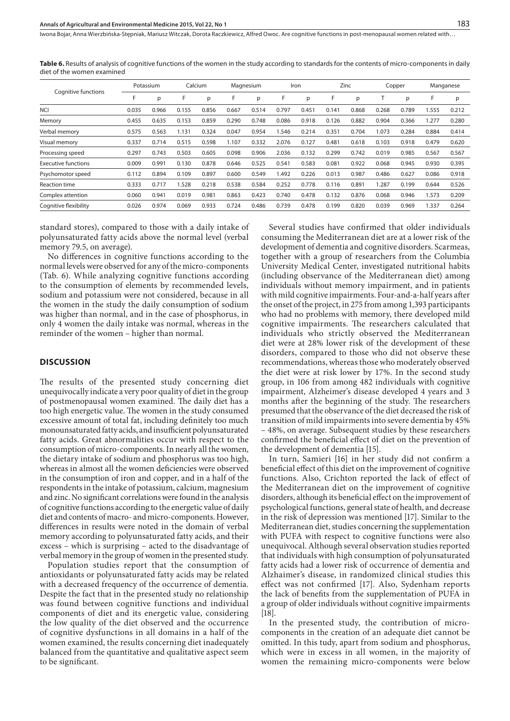**Table 6.** Results of analysis of cognitive functions of the women in the study according to standards for the contents of micro-components in daily diet of the women examined

|                            | Potassium |       | Calcium |       | Magnesium |       | Iron  |       | Zinc  |       | Copper |       | Manganese |       |
|----------------------------|-----------|-------|---------|-------|-----------|-------|-------|-------|-------|-------|--------|-------|-----------|-------|
| Cognitive functions        | F         | p     | F       | p     | F         | р     | F     | p     |       | р     |        | p     | F         | p     |
| <b>NCI</b>                 | 0.035     | 0.966 | 0.155   | 0.856 | 0.667     | 0.514 | 0.797 | 0.451 | 0.141 | 0.868 | 0.268  | 0.789 | 1.555     | 0.212 |
| Memory                     | 0.455     | 0.635 | 0.153   | 0.859 | 0.290     | 0.748 | 0.086 | 0.918 | 0.126 | 0.882 | 0.904  | 0.366 | 1.277     | 0.280 |
| Verbal memory              | 0.575     | 0.563 | 1.131   | 0.324 | 0.047     | 0.954 | .546  | 0.214 | 0.351 | 0.704 | 1.073  | 0.284 | 0.884     | 0.414 |
| Visual memory              | 0.337     | 0.714 | 0.515   | 0.598 | 1.107     | 0.332 | 2.076 | 0.127 | 0.481 | 0.618 | 0.103  | 0.918 | 0.479     | 0.620 |
| Processing speed           | 0.297     | 0.743 | 0.503   | 0.605 | 0.098     | 0.906 | 2.036 | 0.132 | 0.299 | 0.742 | 0.019  | 0.985 | 0.567     | 0.567 |
| <b>Executive functions</b> | 0.009     | 0.991 | 0.130   | 0.878 | 0.646     | 0.525 | 0.541 | 0.583 | 0.081 | 0.922 | 0.068  | 0.945 | 0.930     | 0.395 |
| Psychomotor speed          | 0.112     | 0.894 | 0.109   | 0.897 | 0.600     | 0.549 | I.492 | 0.226 | 0.013 | 0.987 | 0.486  | 0.627 | 0.086     | 0.918 |
| <b>Reaction time</b>       | 0.333     | 0.717 | 1.528   | 0.218 | 0.538     | 0.584 | 0.252 | 0.778 | 0.116 | 0.891 | 1.287  | 0.199 | 0.644     | 0.526 |
| Complex attention          | 0.060     | 0.941 | 0.019   | 0.981 | 0.863     | 0.423 | 0.740 | 0.478 | 0.132 | 0.876 | 0.068  | 0.946 | 1.573     | 0.209 |
| Cognitive flexibility      | 0.026     | 0.974 | 0.069   | 0.933 | 0.724     | 0.486 | 0.739 | 0.478 | 0.199 | 0.820 | 0.039  | 0.969 | 1.337     | 0.264 |

standard stores), compared to those with a daily intake of polyunsaturated fatty acids above the normal level (verbal memory 79.5, on average).

No differences in cognitive functions according to the normal levels were observed for any of the micro-components (Tab. 6). While analyzing cognitive functions according to the consumption of elements by recommended levels, sodium and potassium were not considered, because in all the women in the study the daily consumption of sodium was higher than normal, and in the case of phosphorus, in only 4 women the daily intake was normal, whereas in the reminder of the women – higher than normal.

#### **DISCUSSION**

The results of the presented study concerning diet unequivocally indicate a very poor quality of diet in the group of postmenopausal women examined. The daily diet has a too high energetic value. The women in the study consumed excessive amount of total fat, including definitely too much monounsaturated fatty acids, and insufficient polyunsaturated fatty acids. Great abnormalities occur with respect to the consumption of micro-components. In nearly all the women, the dietary intake of sodium and phosphorus was too high, whereas in almost all the women deficiencies were observed in the consumption of iron and copper, and in a half of the respondents in the intake of potassium, calcium, magnesium and zinc. No significant correlations were found in the analysis of cognitive functions according to the energetic value of daily diet and contents of macro- and micro-components. However, differences in results were noted in the domain of verbal memory according to polyunsaturated fatty acids, and their excess – which is surprising – acted to the disadvantage of verbal memory in the group of women in the presented study.

Population studies report that the consumption of antioxidants or polyunsaturated fatty acids may be related with a decreased frequency of the occurrence of dementia. Despite the fact that in the presented study no relationship was found between cognitive functions and individual components of diet and its energetic value, considering the low quality of the diet observed and the occurrence of cognitive dysfunctions in all domains in a half of the women examined, the results concerning diet inadequately balanced from the quantitative and qualitative aspect seem to be significant.

Several studies have confirmed that older individuals consuming the Mediterranean diet are at a lower risk of the development of dementia and cognitive disorders. Scarmeas, together with a group of researchers from the Columbia University Medical Center, investigated nutritional habits (including observance of the Mediterranean diet) among individuals without memory impairment, and in patients with mild cognitive impairments. Four-and-a-half years after the onset of the project, in 275 from among 1,393 participants who had no problems with memory, there developed mild cognitive impairments. The researchers calculated that individuals who strictly observed the Mediterranean diet were at 28% lower risk of the development of these disorders, compared to those who did not observe these recommendations, whereas those who moderately observed the diet were at risk lower by 17%. In the second study group, in 106 from among 482 individuals with cognitive impairment, Alzheimer's disease developed 4 years and 3 months after the beginning of the study. The researchers presumed that the observance of the diet decreased the risk of transition of mild impairments into severe dementia by 45% – 48%, on average. Subsequent studies by these researchers confirmed the beneficial effect of diet on the prevention of the development of dementia [15].

In turn, Samieri [16] in her study did not confirm a beneficial effect of this diet on the improvement of cognitive functions. Also, Crichton reported the lack of effect of the Mediterranean diet on the improvement of cognitive disorders, although its beneficial effect on the improvement of psychological functions, general state of health, and decrease in the risk of depression was mentioned [17]. Similar to the Mediterranean diet, studies concerning the supplementation with PUFA with respect to cognitive functions were also unequivocal. Although several observation studies reported that individuals with high consumption of polyunsaturated fatty acids had a lower risk of occurrence of dementia and Alzhaimer's disease, in randomized clinical studies this effect was not confirmed [17]. Also, Sydenham reports the lack of benefits from the supplementation of PUFA in a group of older individuals without cognitive impairments [18].

In the presented study, the contribution of microcomponents in the creation of an adequate diet cannot be omitted. In this tudy, apart from sodium and phosphorus, which were in excess in all women, in the majority of women the remaining micro-components were below